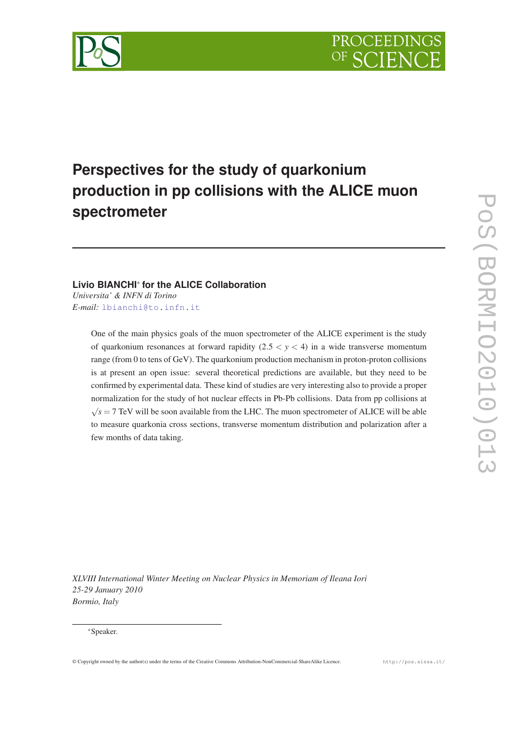

# **Perspectives for the study of quarkonium production in pp collisions with the ALICE muon spectrometer**

# **Livio BIANCHI**<sup>∗</sup> **for the ALICE Collaboration**

*Universita' & INFN di Torino E-mail:* [lbianchi@to.infn.it](mailto:lbianchi@to.infn.it)

> One of the main physics goals of the muon spectrometer of the ALICE experiment is the study of quarkonium resonances at forward rapidity  $(2.5 < y < 4)$  in a wide transverse momentum range (from 0 to tens of GeV). The quarkonium production mechanism in proton-proton collisions is at present an open issue: several theoretical predictions are available, but they need to be confirmed by experimental data. These kind of studies are very interesting also to provide a proper normalization for the study of hot nuclear effects in Pb-Pb collisions. Data from pp collisions at  $\sqrt{s}$  = 7 TeV will be soon available from the LHC. The muon spectrometer of ALICE will be able to measure quarkonia cross sections, transverse momentum distribution and polarization after a few months of data taking.

*XLVIII International Winter Meeting on Nuclear Physics in Memoriam of Ileana Iori 25-29 January 2010 Bormio, Italy*

#### <sup>∗</sup>Speaker.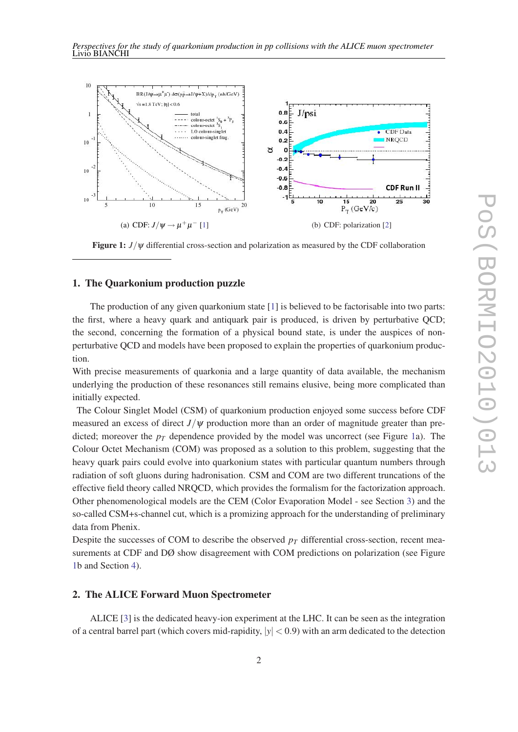

Figure 1: *J*/ψ differential cross-section and polarization as measured by the CDF collaboration

## 1. The Quarkonium production puzzle

The production of any given quarkonium state [\[1](#page-5-0)] is believed to be factorisable into two parts: the first, where a heavy quark and antiquark pair is produced, is driven by perturbative QCD; the second, concerning the formation of a physical bound state, is under the auspices of nonperturbative QCD and models have been proposed to explain the properties of quarkonium production.

With precise measurements of quarkonia and a large quantity of data available, the mechanism underlying the production of these resonances still remains elusive, being more complicated than initially expected.

The Colour Singlet Model (CSM) of quarkonium production enjoyed some success before CDF measured an excess of direct  $J/\psi$  production more than an order of magnitude greater than predicted; moreover the  $p<sub>T</sub>$  dependence provided by the model was uncorrect (see Figure 1a). The Colour Octet Mechanism (COM) was proposed as a solution to this problem, suggesting that the heavy quark pairs could evolve into quarkonium states with particular quantum numbers through radiation of soft gluons during hadronisation. CSM and COM are two different truncations of the effective field theory called NRQCD, which provides the formalism for the factorization approach. Other phenomenological models are the CEM (Color Evaporation Model - see Section [3](#page-2-0)) and the so-called CSM+s-channel cut, which is a promizing approach for the understanding of preliminary data from Phenix.

Despite the successes of COM to describe the observed  $p<sub>T</sub>$  differential cross-section, recent measurements at CDF and DØ show disagreement with COM predictions on polarization (see Figure 1b and Section [4](#page-3-0)).

# 2. The ALICE Forward Muon Spectrometer

ALICE [\[3](#page-5-0)] is the dedicated heavy-ion experiment at the LHC. It can be seen as the integration of a central barrel part (which covers mid-rapidity,  $|y| < 0.9$ ) with an arm dedicated to the detection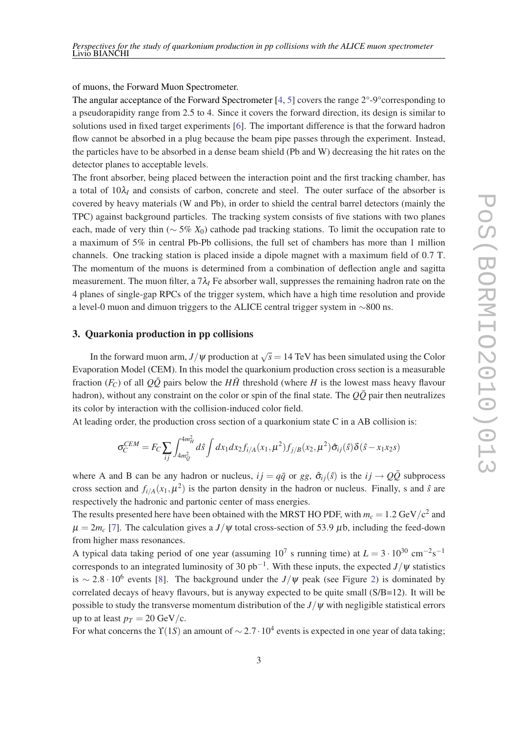<span id="page-2-0"></span>of muons, the Forward Muon Spectrometer.

The angular acceptance of the Forward Spectrometer  $[4, 5]$  $[4, 5]$  $[4, 5]$  $[4, 5]$  covers the range  $2^{\circ}$ -9°corresponding to a pseudorapidity range from 2.5 to 4. Since it covers the forward direction, its design is similar to solutions used in fixed target experiments [\[6\]](#page-5-0). The important difference is that the forward hadron flow cannot be absorbed in a plug because the beam pipe passes through the experiment. Instead, the particles have to be absorbed in a dense beam shield (Pb and W) decreasing the hit rates on the detector planes to acceptable levels.

The front absorber, being placed between the interaction point and the first tracking chamber, has a total of  $10\lambda$ <sub>*I*</sub> and consists of carbon, concrete and steel. The outer surface of the absorber is covered by heavy materials (W and Pb), in order to shield the central barrel detectors (mainly the TPC) against background particles. The tracking system consists of five stations with two planes each, made of very thin (∼ 5% *X*0) cathode pad tracking stations. To limit the occupation rate to a maximum of 5% in central Pb-Pb collisions, the full set of chambers has more than 1 million channels. One tracking station is placed inside a dipole magnet with a maximum field of 0.7 T. The momentum of the muons is determined from a combination of deflection angle and sagitta measurement. The muon filter, a  $7\lambda$ <sup>*I*</sup> Fe absorber wall, suppresses the remaining hadron rate on the 4 planes of single-gap RPCs of the trigger system, which have a high time resolution and provide a level-0 muon and dimuon triggers to the ALICE central trigger system in ∼800 ns.

#### 3. Quarkonia production in pp collisions

In the forward muon arm,  $J/\psi$  production at  $\sqrt{s} = 14$  TeV has been simulated using the Color Evaporation Model (CEM). In this model the quarkonium production cross section is a measurable fraction  $(F_C)$  of all  $Q\overline{Q}$  pairs below the  $H\overline{H}$  threshold (where *H* is the lowest mass heavy flavour hadron), without any constraint on the color or spin of the final state. The  $Q\bar{Q}$  pair then neutralizes its color by interaction with the collision-induced color field.

At leading order, the production cross section of a quarkonium state C in a AB collision is:

$$
\sigma_C^{CEM} = F_C \sum_{ij} \int_{4m_Q^2}^{4m_H^2} d\hat{s} \int dx_1 dx_2 f_{i/A}(x_1, \mu^2) f_{j/B}(x_2, \mu^2) \hat{\sigma}_{ij}(\hat{s}) \delta(\hat{s} - x_1 x_2 s)
$$

where A and B can be any hadron or nucleus,  $i j = q \bar{q}$  or *gg*,  $\hat{\sigma}_{ij}(\hat{s})$  is the  $i j \rightarrow Q \bar{Q}$  subprocess cross section and  $f_{i/A}(x_1,\mu^2)$  is the parton density in the hadron or nucleus. Finally, s and  $\hat{s}$  are respectively the hadronic and partonic center of mass energies.

The results presented here have been obtained with the MRST HO PDF, with  $m_c = 1.2 \text{ GeV}/c^2$  and  $\mu = 2m_c$  [\[7\]](#page-5-0). The calculation gives a *J*/ $\psi$  total cross-section of 53.9  $\mu$ b, including the feed-down from higher mass resonances.

A typical data taking period of one year (assuming  $10^7$  s running time) at  $L = 3 \cdot 10^{30}$  cm<sup>-2</sup>s<sup>-1</sup> corresponds to an integrated luminosity of 30 pb−<sup>1</sup> . With these inputs, the expected *J*/ψ statistics is  $\sim 2.8 \cdot 10^6$  $\sim 2.8 \cdot 10^6$  $\sim 2.8 \cdot 10^6$  events [8]. The background under the *J*/ $\psi$  peak (see Figure [2\)](#page-3-0) is dominated by correlated decays of heavy flavours, but is anyway expected to be quite small  $(S/B=12)$ . It will be possible to study the transverse momentum distribution of the  $J/\psi$  with negligible statistical errors up to at least  $p_T = 20 \text{ GeV/c}$ .

For what concerns the  $\Upsilon(1S)$  an amount of  $\sim 2.7 \cdot 10^4$  events is expected in one year of data taking;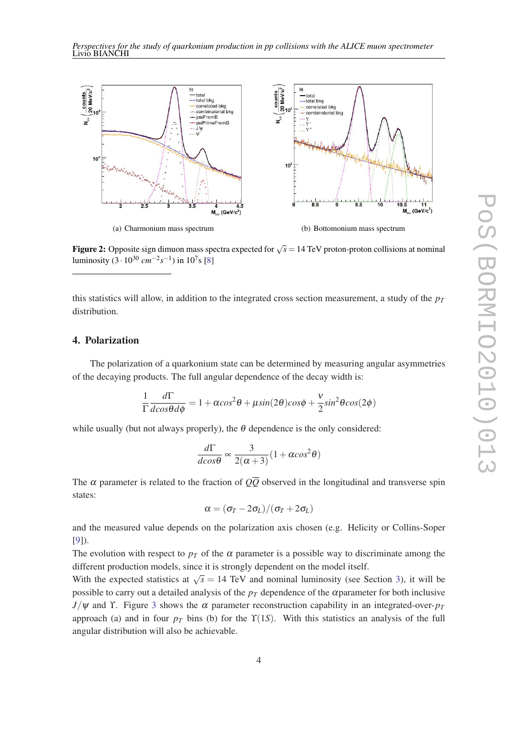<span id="page-3-0"></span>

**Figure 2:** Opposite sign dimuon mass spectra expected for  $\sqrt{s} = 14$  TeV proton-proton collisions at nominal luminosity  $(3 \cdot 10^{30} \text{ cm}^{-2} \text{s}^{-1})$  in  $10^7$ s [[8\]](#page-5-0)

this statistics will allow, in addition to the integrated cross section measurement, a study of the *p<sup>T</sup>* distribution.

# 4. Polarization

The polarization of a quarkonium state can be determined by measuring angular asymmetries of the decaying products. The full angular dependence of the decay width is:

$$
\frac{1}{\Gamma}\frac{d\Gamma}{dcos\theta d\phi} = 1 + \alpha cos^2\theta + \mu sin(2\theta)cos\phi + \frac{v}{2}sin^2\theta cos(2\phi)
$$

while usually (but not always properly), the  $\theta$  dependence is the only considered:

$$
\frac{d\Gamma}{dcos\theta} \propto \frac{3}{2(\alpha+3)} (1+\alpha cos^2\theta)
$$

The  $\alpha$  parameter is related to the fraction of  $Q\overline{Q}$  observed in the longitudinal and transverse spin states:

$$
\alpha = (\sigma_T - 2\sigma_L)/(\sigma_T + 2\sigma_L)
$$

and the measured value depends on the polarization axis chosen (e.g. Helicity or Collins-Soper [[9](#page-5-0)]).

The evolution with respect to  $p<sub>T</sub>$  of the  $\alpha$  parameter is a possible way to discriminate among the different production models, since it is strongly dependent on the model itself.

With the expected statistics at  $\sqrt{s} = 14$  TeV and nominal luminosity (see Section [3](#page-2-0)), it will be possible to carry out a detailed analysis of the  $p<sub>T</sub>$  dependence of the  $\alpha$  parameter for both inclusive  $J/\psi$  and Y. Figure [3](#page-4-0) shows the  $\alpha$  parameter reconstruction capability in an integrated-over- $p_T$ approach (a) and in four  $p<sub>T</sub>$  bins (b) for the  $\Upsilon(1S)$ . With this statistics an analysis of the full angular distribution will also be achievable.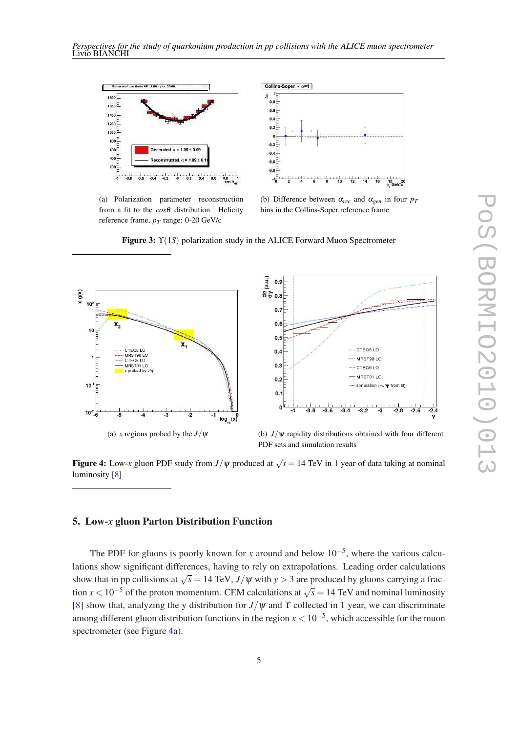<span id="page-4-0"></span>

(a) Polarization parameter reconstruction from a fit to the *cos*θ distribution. Helicity reference frame, *pT* range: 0-20 GeV/c



(b) Difference between  $\alpha_{rec}$  and  $\alpha_{gen}$  in four  $p_T$ bins in the Collins-Soper reference frame

Figure 3: ϒ(1*S*) polarization study in the ALICE Forward Muon Spectrometer





PDF sets and simulation results

**Figure 4:** Low-*x* gluon PDF study from  $J/\psi$  produced at  $\sqrt{s} = 14$  TeV in 1 year of data taking at nominal luminosity [[8\]](#page-5-0)

# 5. Low-*x* gluon Parton Distribution Function

The PDF for gluons is poorly known for *x* around and below  $10^{-5}$ , where the various calculations show significant differences, having to rely on extrapolations. Leading order calculations show that in pp collisions at  $\sqrt{s} = 14 \text{ TeV}$ ,  $J/\psi$  with  $y > 3$  are produced by gluons carrying a fraction  $x < 10^{-5}$  of the proton momentum. CEM calculations at  $\sqrt{s} = 14$  TeV and nominal luminosity [[8](#page-5-0)] show that, analyzing the y distribution for  $J/\psi$  and  $\Upsilon$  collected in 1 year, we can discriminate among different gluon distribution functions in the region  $x < 10^{-5}$ , which accessible for the muon spectrometer (see Figure 4a).